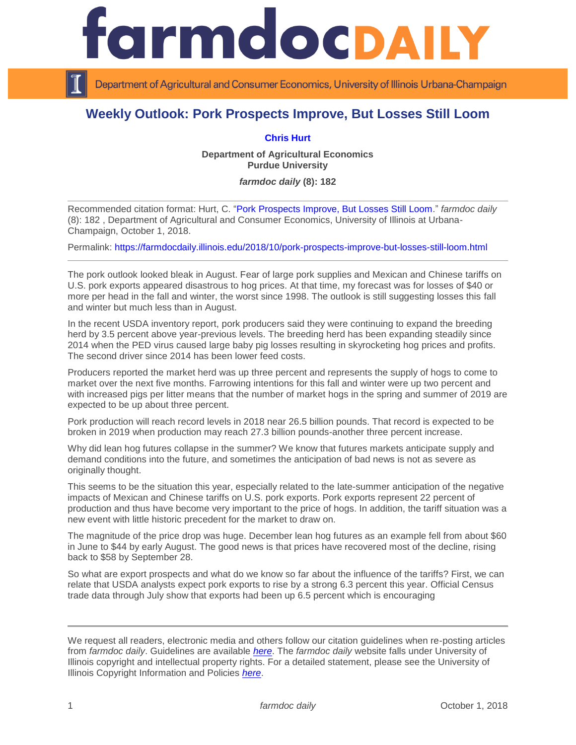## rmdocpa

Department of Agricultural and Consumer Economics, University of Illinois Urbana-Champaign

## **Weekly Outlook: Pork Prospects Improve, But Losses Still Loom**

## **[Chris Hurt](https://ag.purdue.edu/agecon/Pages/Profile.aspx?strAlias=hurtc)**

**Department of Agricultural Economics Purdue University**

*farmdoc daily* **(8): 182**

Recommended citation format: Hurt, C. ["Pork Prospects Improve, But Losses Still Loom.](https://farmdocdaily.illinois.edu/2018/10/pork-prospects-improve-but-losses-still-loom.html)" *farmdoc daily*  (8): 182 , Department of Agricultural and Consumer Economics, University of Illinois at Urbana-Champaign, October 1, 2018.

Permalink:<https://farmdocdaily.illinois.edu/2018/10/pork-prospects-improve-but-losses-still-loom.html>

The pork outlook looked bleak in August. Fear of large pork supplies and Mexican and Chinese tariffs on U.S. pork exports appeared disastrous to hog prices. At that time, my forecast was for losses of \$40 or more per head in the fall and winter, the worst since 1998. The outlook is still suggesting losses this fall and winter but much less than in August.

In the recent USDA inventory report, pork producers said they were continuing to expand the breeding herd by 3.5 percent above year-previous levels. The breeding herd has been expanding steadily since 2014 when the PED virus caused large baby pig losses resulting in skyrocketing hog prices and profits. The second driver since 2014 has been lower feed costs.

Producers reported the market herd was up three percent and represents the supply of hogs to come to market over the next five months. Farrowing intentions for this fall and winter were up two percent and with increased pigs per litter means that the number of market hogs in the spring and summer of 2019 are expected to be up about three percent.

Pork production will reach record levels in 2018 near 26.5 billion pounds. That record is expected to be broken in 2019 when production may reach 27.3 billion pounds-another three percent increase.

Why did lean hog futures collapse in the summer? We know that futures markets anticipate supply and demand conditions into the future, and sometimes the anticipation of bad news is not as severe as originally thought.

This seems to be the situation this year, especially related to the late-summer anticipation of the negative impacts of Mexican and Chinese tariffs on U.S. pork exports. Pork exports represent 22 percent of production and thus have become very important to the price of hogs. In addition, the tariff situation was a new event with little historic precedent for the market to draw on.

The magnitude of the price drop was huge. December lean hog futures as an example fell from about \$60 in June to \$44 by early August. The good news is that prices have recovered most of the decline, rising back to \$58 by September 28.

So what are export prospects and what do we know so far about the influence of the tariffs? First, we can relate that USDA analysts expect pork exports to rise by a strong 6.3 percent this year. Official Census trade data through July show that exports had been up 6.5 percent which is encouraging

We request all readers, electronic media and others follow our citation guidelines when re-posting articles from *farmdoc daily*. Guidelines are available *[here](http://farmdocdaily.illinois.edu/citationguide.html)*. The *farmdoc daily* website falls under University of Illinois copyright and intellectual property rights. For a detailed statement, please see the University of Illinois Copyright Information and Policies *[here](http://www.cio.illinois.edu/policies/copyright/)*.